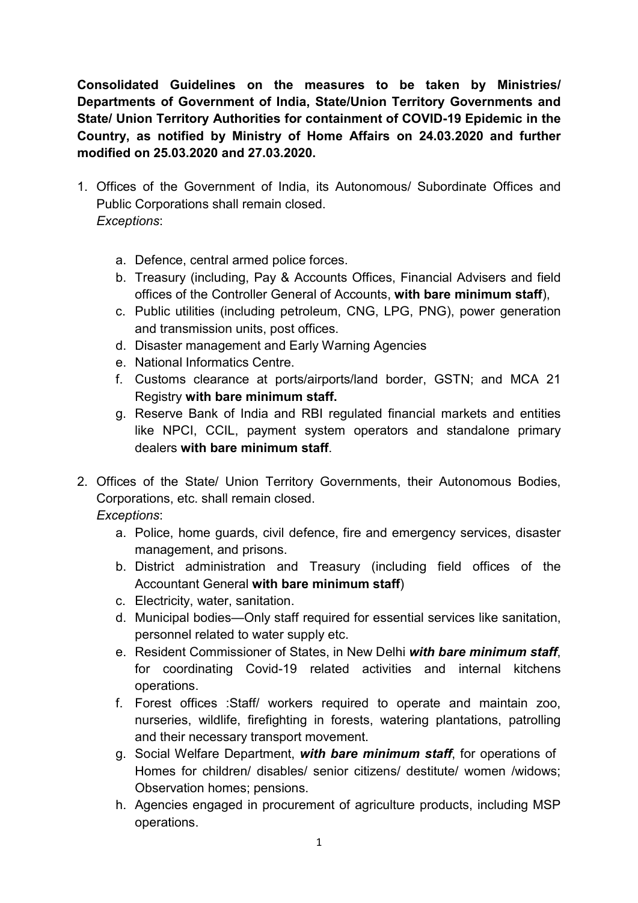Consolidated Guidelines on the measures to be taken by Ministries/ Departments of Government of India, State/Union Territory Governments and State/ Union Territory Authorities for containment of COVID-19 Epidemic in the Country, as notified by Ministry of Home Affairs on 24.03.2020 and further modified on 25.03.2020 and 27.03.2020.

- 1. Offices of the Government of India, its Autonomous/ Subordinate Offices and Public Corporations shall remain closed. Exceptions:
	- a. Defence, central armed police forces.
	- b. Treasury (including, Pay & Accounts Offices, Financial Advisers and field offices of the Controller General of Accounts, with bare minimum staff),
	- c. Public utilities (including petroleum, CNG, LPG, PNG), power generation and transmission units, post offices.
	- d. Disaster management and Early Warning Agencies
	- e. National Informatics Centre.
	- f. Customs clearance at ports/airports/land border, GSTN; and MCA 21 Registry with bare minimum staff.
	- g. Reserve Bank of India and RBI regulated financial markets and entities like NPCI, CCIL, payment system operators and standalone primary dealers with bare minimum staff.
- 2. Offices of the State/ Union Territory Governments, their Autonomous Bodies, Corporations, etc. shall remain closed.

Exceptions:

- a. Police, home guards, civil defence, fire and emergency services, disaster management, and prisons.
- b. District administration and Treasury (including field offices of the Accountant General with bare minimum staff)
- c. Electricity, water, sanitation.
- d. Municipal bodies—Only staff required for essential services like sanitation, personnel related to water supply etc.
- e. Resident Commissioner of States, in New Delhi with bare minimum staff. for coordinating Covid-19 related activities and internal kitchens operations.
- f. Forest offices :Staff/ workers required to operate and maintain zoo, nurseries, wildlife, firefighting in forests, watering plantations, patrolling and their necessary transport movement.
- g. Social Welfare Department, with bare minimum staff, for operations of Homes for children/ disables/ senior citizens/ destitute/ women /widows; Observation homes; pensions.
- h. Agencies engaged in procurement of agriculture products, including MSP operations.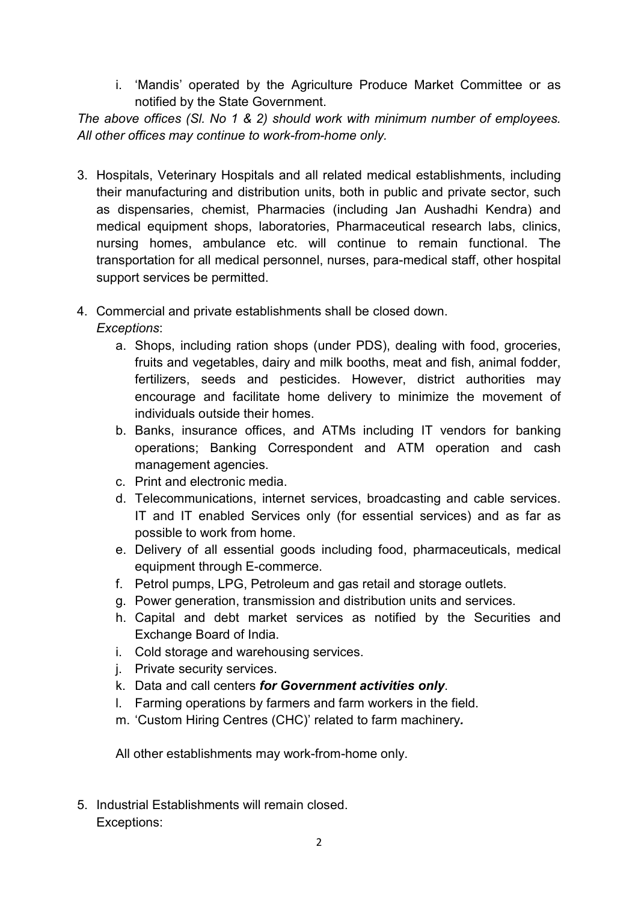i. 'Mandis' operated by the Agriculture Produce Market Committee or as notified by the State Government.

The above offices (Sl. No 1 & 2) should work with minimum number of employees. All other offices may continue to work-from-home only.

- 3. Hospitals, Veterinary Hospitals and all related medical establishments, including their manufacturing and distribution units, both in public and private sector, such as dispensaries, chemist, Pharmacies (including Jan Aushadhi Kendra) and medical equipment shops, laboratories, Pharmaceutical research labs, clinics, nursing homes, ambulance etc. will continue to remain functional. The transportation for all medical personnel, nurses, para-medical staff, other hospital support services be permitted.
- 4. Commercial and private establishments shall be closed down. Exceptions:
	- a. Shops, including ration shops (under PDS), dealing with food, groceries, fruits and vegetables, dairy and milk booths, meat and fish, animal fodder, fertilizers, seeds and pesticides. However, district authorities may encourage and facilitate home delivery to minimize the movement of individuals outside their homes.
	- b. Banks, insurance offices, and ATMs including IT vendors for banking operations; Banking Correspondent and ATM operation and cash management agencies.
	- c. Print and electronic media.
	- d. Telecommunications, internet services, broadcasting and cable services. IT and IT enabled Services only (for essential services) and as far as possible to work from home.
	- e. Delivery of all essential goods including food, pharmaceuticals, medical equipment through E-commerce.
	- f. Petrol pumps, LPG, Petroleum and gas retail and storage outlets.
	- g. Power generation, transmission and distribution units and services.
	- h. Capital and debt market services as notified by the Securities and Exchange Board of India.
	- i. Cold storage and warehousing services.
	- j. Private security services.
	- k. Data and call centers for Government activities only.
	- l. Farming operations by farmers and farm workers in the field.
	- m. 'Custom Hiring Centres (CHC)' related to farm machinery.

All other establishments may work-from-home only.

5. Industrial Establishments will remain closed. Exceptions: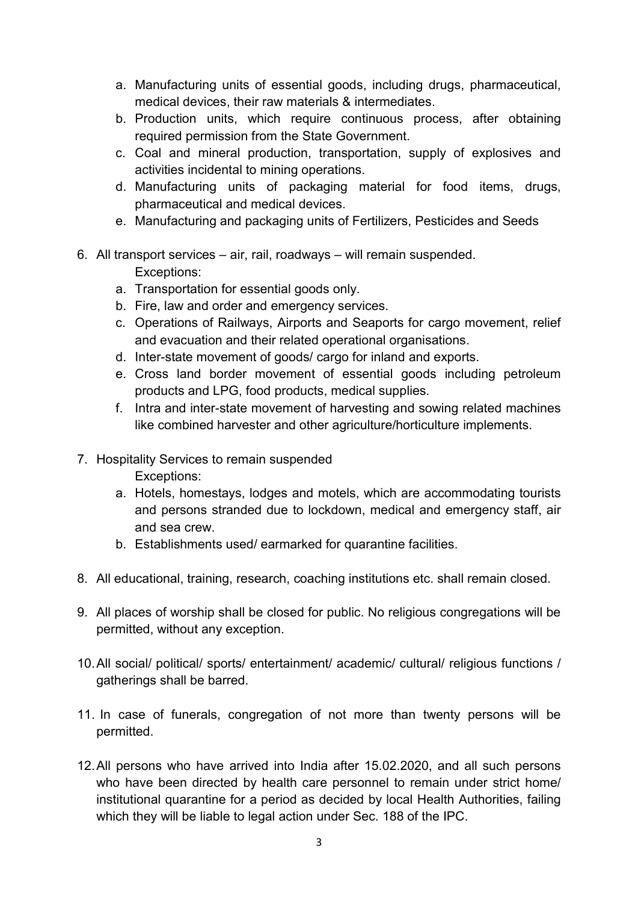- a. Manufacturing units of essential goods, including drugs, pharmaceutical, medical devices, their raw materials & intermediates.
- b. Production units, which require continuous process, after obtaining required permission from the State Government.
- c. Coal and mineral production, transportation, supply of explosives and activities incidental to mining operations.
- d. Manufacturing units of packaging material for food items, drugs, pharmaceutical and medical devices.
- e. Manufacturing and packaging units of Fertilizers, Pesticides and Seeds
- 6. All transport services air, rail, roadways will remain suspended. Exceptions:
	- a. Transportation for essential goods only.
	- b. Fire, law and order and emergency services.
	- c. Operations of Railways, Airports and Seaports for cargo movement, relief and evacuation and their related operational organisations.
	- d. Inter-state movement of goods/ cargo for inland and exports.
	- e. Cross land border movement of essential goods including petroleum products and LPG, food products, medical supplies.
	- f. Intra and inter-state movement of harvesting and sowing related machines like combined harvester and other agriculture/horticulture implements.
- 7. Hospitality Services to remain suspended

Exceptions:

- a. Hotels, homestays, lodges and motels, which are accommodating tourists and persons stranded due to lockdown, medical and emergency staff, air and sea crew.
- b. Establishments used/ earmarked for quarantine facilities.
- 8. All educational, training, research, coaching institutions etc. shall remain closed.
- 9. All places of worship shall be closed for public. No religious congregations will be permitted, without any exception.
- 10. All social/ political/ sports/ entertainment/ academic/ cultural/ religious functions / gatherings shall be barred.
- 11. In case of funerals, congregation of not more than twenty persons will be permitted.
- 12. All persons who have arrived into India after 15.02.2020, and all such persons who have been directed by health care personnel to remain under strict home/ institutional quarantine for a period as decided by local Health Authorities, failing which they will be liable to legal action under Sec. 188 of the IPC.